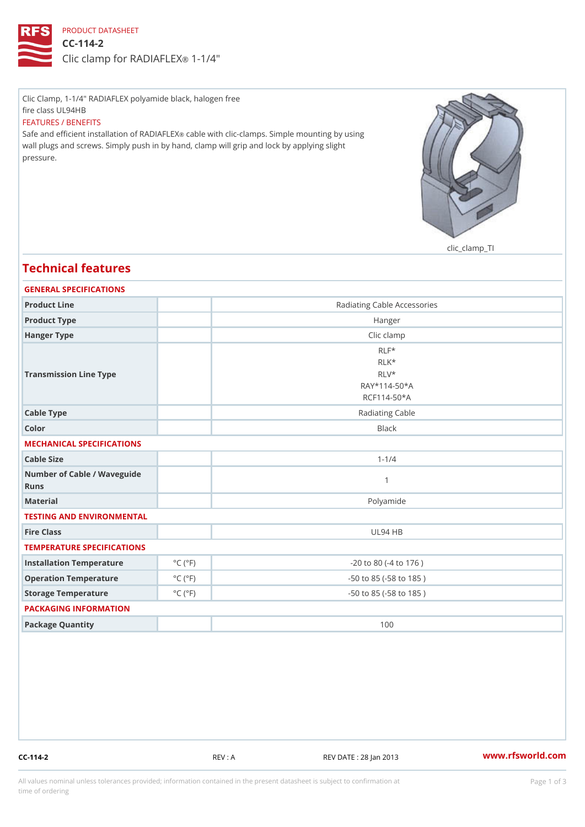## PRODUCT DATASHEET CC-114-2 Clic clamp for RADI-AF4 EX

Clic Clamp, 1-1/4" RADIAFLEX polyamide black, halogen free fire class UL94HB FEATURES / BENEFITS Safe and efficient installation celo IRe An Dilth Foll Exclamps. Simple mounting by using wall plugs and screws. Simply push in by hand, clamp will grip and lock by applying slight pressure.

clic\_clamp\_TI

## Technical features GENERAL SPECIFICATIONS Product Line **Radiating Cable Accessories** Product Type **Hanger** Hanger Type **Clic clamp** Transmission Line Type RLF\* RLK\* RLV\* RAY\*114-50\*A RCF114-50\*A Cable Type **Radiating Cable** Cable **Radiating Cable** Color Black MECHANICAL SPECIFICATIONS Cable Size 1-1/4 Number of Cable / Waveguide Runs 1 Material Polyamide TESTING AND ENVIRONMENTAL Fire Class UL94 HB TEMPERATURE SPECIFICATIONS Installation Temperature  $^{\circ}$  C ( $^{\circ}$  F)  $^{\circ}$   $\sim$   $-20$  to 80 (-4 to 176) Operation Temperature  $\degree$  C ( $\degree$ F) -50 to 85 (-58 to 185) Storage Temperature  $\begin{array}{c} \circ \text{C} \\ \circ \text{C} \end{array}$  (°F) -50 to 85 (-58 to 185) PACKAGING INFORMATION Package Quantity 100

CC-114-2 REV : A REV DATE : 28 Jan 2013 [www.](https://www.rfsworld.com)rfsworld.com

All values nominal unless tolerances provided; information contained in the present datasheet is subject to Pcapgeign mation time of ordering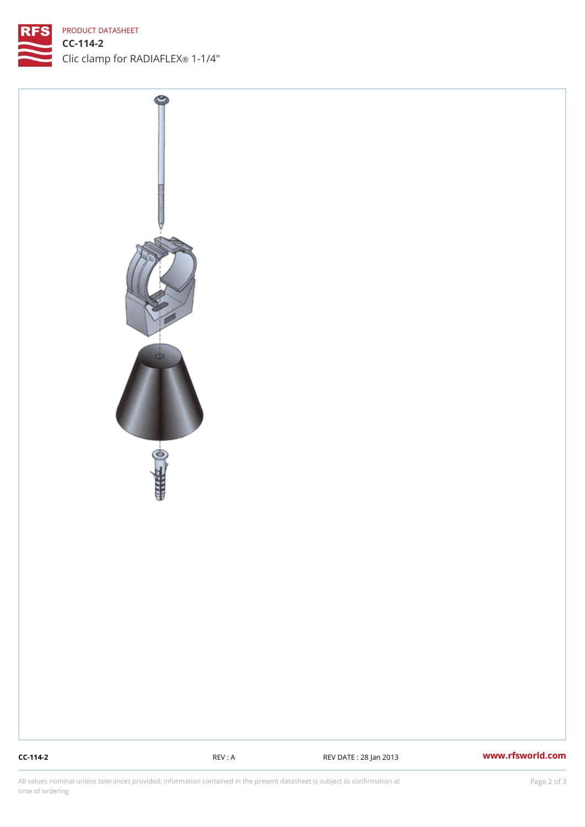## PRODUCT DATASHEET

CC-114-2 Clic clamp for RADI-AF4'EX

CC-114-2 REV : A REV DATE : 28 Jan 2013 WWW.rfsworld.com

All values nominal unless tolerances provided; information contained in the present datasheet is subject to Pcapgelio an atio time of ordering